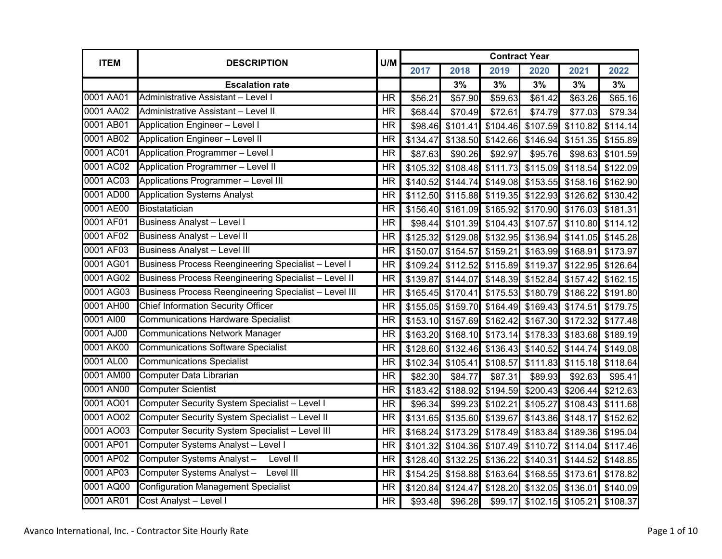|           | <b>ITEM</b><br><b>DESCRIPTION</b>                           | U/M                      |          |                                                       | <b>Contract Year</b> |                   |                   |                                              |
|-----------|-------------------------------------------------------------|--------------------------|----------|-------------------------------------------------------|----------------------|-------------------|-------------------|----------------------------------------------|
|           |                                                             |                          | 2017     | 2018                                                  | 2019                 | 2020              | 2021              | 2022                                         |
|           | <b>Escalation rate</b>                                      |                          |          | 3%                                                    | 3%                   | 3%                | 3%                | 3%                                           |
| 0001 AA01 | Administrative Assistant - Level I                          | <b>HR</b>                | \$56.21  | \$57.90                                               | \$59.63              | \$61.42           | \$63.26           | \$65.16                                      |
| 0001 AA02 | Administrative Assistant - Level II                         | <b>HR</b>                | \$68.44  | \$70.49                                               | \$72.61              | \$74.79           | \$77.03           | \$79.34                                      |
| 0001 AB01 | <b>Application Engineer - Level I</b>                       | <b>HR</b>                | \$98.46  | \$101.41                                              |                      | \$104.46 \$107.59 | \$110.82          | \$114.14                                     |
| 0001 AB02 | <b>Application Engineer - Level II</b>                      | <b>HR</b>                | \$134.47 | \$138.50                                              |                      | \$142.66 \$146.94 | \$151.35          | \$155.89                                     |
| 0001 AC01 | <b>Application Programmer - Level I</b>                     | <b>HR</b>                | \$87.63  | \$90.26                                               | \$92.97              | \$95.76           | \$98.63           | \$101.59                                     |
| 0001 AC02 | Application Programmer - Level II                           | <b>HR</b>                | \$105.32 | \$108.48                                              | \$111.73             | \$115.09          | \$118.54          | \$122.09                                     |
| 0001 AC03 | Applications Programmer - Level III                         | <b>HR</b>                | \$140.52 |                                                       |                      |                   |                   | \$144.74 \$149.08 \$153.55 \$158.16 \$162.90 |
| 0001 AD00 | <b>Application Systems Analyst</b>                          | $\overline{\mathsf{HR}}$ |          | \$112.50 \$115.88 \$119.35 \$122.93                   |                      |                   | \$126.62          | \$130.42                                     |
| 0001 AE00 | Biostatatician                                              | <b>HR</b>                |          | \$156.40 \$161.09                                     | \$165.92             | \$170.90          |                   | \$176.03 \$181.31                            |
| 0001 AF01 | <b>Business Analyst - Level I</b>                           | <b>HR</b>                | \$98.44  |                                                       | \$101.39 \$104.43    | \$107.57          |                   | \$110.80 \$114.12                            |
| 0001 AF02 | <b>Business Analyst - Level II</b>                          | <b>HR</b>                | \$125.32 |                                                       |                      |                   |                   | \$129.08 \$132.95 \$136.94 \$141.05 \$145.28 |
| 0001 AF03 | <b>Business Analyst - Level III</b>                         | <b>HR</b>                | \$150.07 | \$154.57                                              | \$159.21             |                   |                   | \$163.99 \$168.91 \$173.97                   |
| 0001 AG01 | <b>Business Process Reengineering Specialist - Level I</b>  | <b>HR</b>                |          | \$109.24 \$112.52                                     |                      | \$115.89 \$119.37 |                   | \$122.95 \$126.64                            |
| 0001 AG02 | <b>Business Process Reengineering Specialist - Level II</b> | <b>HR</b>                | \$139.87 | \$144.07                                              |                      |                   |                   | \$148.39 \$152.84 \$157.42 \$162.15          |
| 0001 AG03 | Business Process Reengineering Specialist - Level III       | <b>HR</b>                |          | \$165.45 \$170.41                                     | \$175.53             | \$180.79          |                   | \$186.22 \$191.80                            |
| 0001 AH00 | <b>Chief Information Security Officer</b>                   | <b>HR</b>                |          | \$155.05 \$159.70 \$164.49                            |                      | \$169.43          | \$174.51          | \$179.75                                     |
| 0001 AI00 | <b>Communications Hardware Specialist</b>                   | <b>HR</b>                |          | \$153.10 \$157.69                                     | \$162.42             | \$167.30          | \$172.32          | \$177.48                                     |
| 0001 AJ00 | <b>Communications Network Manager</b>                       | <b>HR</b>                |          | \$163.20 \$168.10                                     | \$173.14             | \$178.33          |                   | \$183.68 \$189.19                            |
| 0001 AK00 | <b>Communications Software Specialist</b>                   | $\overline{\mathsf{HR}}$ | \$128.60 | \$132.46                                              | \$136.43             | \$140.52          | \$144.74          | \$149.08                                     |
| 0001 AL00 | <b>Communications Specialist</b>                            | <b>HR</b>                | \$102.34 | \$105.41                                              | \$108.57             | \$111.83          |                   | \$115.18 \$118.64                            |
| 0001 AM00 | Computer Data Librarian                                     | <b>HR</b>                | \$82.30  | \$84.77                                               | \$87.31              | \$89.93           | \$92.63           | \$95.41                                      |
| 0001 AN00 | <b>Computer Scientist</b>                                   | <b>HR</b>                | \$183.42 | \$188.92                                              |                      | \$194.59 \$200.43 | \$206.44          | $\overline{$}212.63$                         |
| 0001 AO01 | Computer Security System Specialist - Level I               | <b>HR</b>                | \$96.34  | \$99.23                                               | \$102.21             | \$105.27          | \$108.43          | \$111.68                                     |
| 0001 AO02 | Computer Security System Specialist - Level II              | <b>HR</b>                |          | \$131.65 \$135.60                                     | \$139.67             | \$143.86          | \$148.17          | \$152.62                                     |
| 0001 AO03 | Computer Security System Specialist - Level III             | <b>HR</b>                | \$168.24 | \$173.29                                              | \$178.49             | \$183.84          |                   | \$189.36 \$195.04                            |
| 0001 AP01 | Computer Systems Analyst - Level I                          | <b>HR</b>                | \$101.32 | \$104.36 \$107.49 \$110.72                            |                      |                   |                   | \$114.04 \$117.46                            |
| 0001 AP02 | Computer Systems Analyst -<br>Level II                      | $\overline{\mathsf{HR}}$ |          | \$128.40 \$132.25 \$136.22                            |                      | \$140.31          |                   | \$144.52 \$148.85                            |
| 0001 AP03 | Computer Systems Analyst - Level III                        | <b>HR</b>                |          | \$154.25 \$158.88 \$163.64 \$168.55 \$173.61 \$178.82 |                      |                   |                   |                                              |
| 0001 AQ00 | <b>Configuration Management Specialist</b>                  | <b>HR</b>                |          | \$120.84 \$124.47                                     | \$128.20             |                   | \$132.05 \$136.01 | \$140.09                                     |
| 0001 AR01 | Cost Analyst - Level I                                      | <b>HR</b>                | \$93.48  | \$96.28                                               |                      | \$99.17 \$102.15  |                   | \$105.21 \$108.37                            |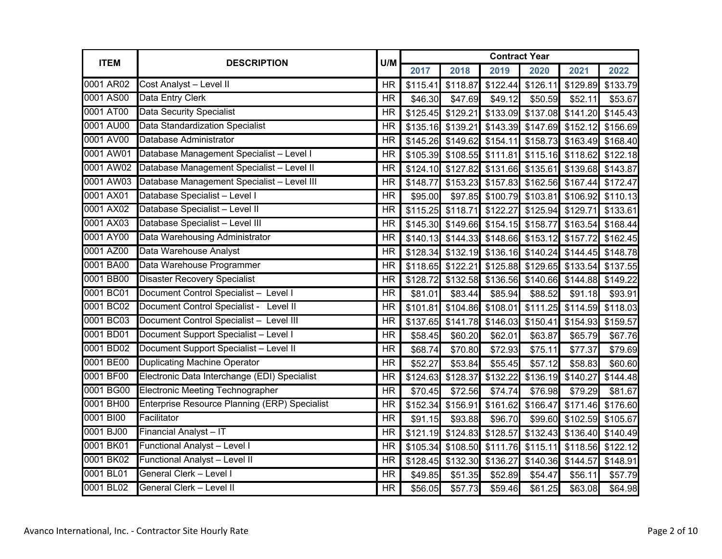| <b>ITEM</b> | <b>DESCRIPTION</b>                            | U/M                      | <b>Contract Year</b> |                                                       |          |                     |          |                   |  |  |
|-------------|-----------------------------------------------|--------------------------|----------------------|-------------------------------------------------------|----------|---------------------|----------|-------------------|--|--|
|             |                                               |                          | 2017                 | 2018                                                  | 2019     | 2020                | 2021     | 2022              |  |  |
| 0001 AR02   | Cost Analyst - Level II                       | <b>HR</b>                | \$115.41             | \$118.87                                              |          | \$122.44 \$126.11   | \$129.89 | \$133.79          |  |  |
| 0001 AS00   | Data Entry Clerk                              | <b>HR</b>                | \$46.30              | \$47.69                                               | \$49.12  | \$50.59             | \$52.11  | \$53.67           |  |  |
| 0001 AT00   | <b>Data Security Specialist</b>               | <b>HR</b>                |                      | \$125.45 \$129.21                                     |          | \$133.09 \$137.08   |          | \$141.20 \$145.43 |  |  |
| 0001 AU00   | <b>Data Standardization Specialist</b>        | <b>HR</b>                | \$135.16             | \$139.21                                              |          | \$143.39 \$147.69   | \$152.12 | \$156.69          |  |  |
| 0001 AV00   | Database Administrator                        | <b>HR</b>                |                      | \$145.26 \$149.62                                     | \$154.11 | \$158.73            | \$163.49 | \$168.40          |  |  |
| 0001 AW01   | Database Management Specialist - Level I      | <b>HR</b>                |                      | \$105.39 \$108.55 \$111.81 \$115.16 \$118.62 \$122.18 |          |                     |          |                   |  |  |
| 0001 AW02   | Database Management Specialist - Level II     | <b>HR</b>                |                      | \$124.10 \$127.82                                     |          | \$131.66 \$135.61   |          | \$139.68 \$143.87 |  |  |
| 0001 AW03   | Database Management Specialist - Level III    | <b>HR</b>                | \$148.77             | \$153.23                                              | \$157.83 | \$162.56            | \$167.44 | \$172.47          |  |  |
| 0001 AX01   | Database Specialist - Level I                 | <b>HR</b>                | \$95.00              | \$97.85                                               |          | \$100.79 \$103.81   |          | \$106.92 \$110.13 |  |  |
| 0001 AX02   | Database Specialist - Level II                | <b>HR</b>                |                      | \$115.25 \$118.71                                     | \$122.27 | \$125.94            | \$129.71 | \$133.61          |  |  |
| 0001 AX03   | Database Specialist - Level III               | <b>HR</b>                |                      | \$145.30 \$149.66                                     |          | \$154.15 \$158.77   | \$163.54 | \$168.44          |  |  |
| 0001 AY00   | Data Warehousing Administrator                | <b>HR</b>                |                      | $$140.13$ $$144.33$ $$148.66$ $$153.12$               |          |                     | \$157.72 | \$162.45          |  |  |
| 0001 AZ00   | Data Warehouse Analyst                        | <b>HR</b>                |                      | \$128.34 \$132.19 \$136.16 \$140.24                   |          |                     |          | \$144.45 \$148.78 |  |  |
| 0001 BA00   | Data Warehouse Programmer                     | <b>HR</b>                |                      | \$118.65 \$122.21                                     |          | \$125.88 \$129.65   |          | \$133.54 \$137.55 |  |  |
| 0001 BB00   | <b>Disaster Recovery Specialist</b>           | <b>HR</b>                | \$128.72             | \$132.58                                              |          | \$136.56 \$140.66   |          | \$144.88 \$149.22 |  |  |
| 0001 BC01   | Document Control Specialist - Level I         | $\overline{\mathsf{HR}}$ | \$81.01              | \$83.44                                               | \$85.94  | \$88.52             | \$91.18  | \$93.91           |  |  |
| 0001BC02    | Document Control Specialist - Level II        | <b>HR</b>                | \$101.81             | \$104.86                                              |          | \$108.01 \$111.25   |          | \$114.59 \$118.03 |  |  |
| 0001BC03    | Document Control Specialist - Level III       | <b>HR</b>                |                      | \$137.65 \$141.78                                     | \$146.03 | \$150.41            | \$154.93 | \$159.57          |  |  |
| 0001 BD01   | Document Support Specialist - Level I         | <b>HR</b>                | \$58.45              | \$60.20                                               | \$62.01  | \$63.87             | \$65.79  | \$67.76           |  |  |
| 0001 BD02   | Document Support Specialist - Level II        | <b>HR</b>                | \$68.74              | \$70.80                                               | \$72.93  | \$75.11             | \$77.37  | \$79.69           |  |  |
| 0001 BE00   | <b>Duplicating Machine Operator</b>           | <b>HR</b>                | \$52.27              | \$53.84                                               | \$55.45  | \$57.12             | \$58.83  | \$60.60           |  |  |
| 0001 BF00   | Electronic Data Interchange (EDI) Specialist  | <b>HR</b>                | \$124.63             | \$128.37                                              | \$132.22 | \$136.19            | \$140.27 | $\sqrt{$144.48}$  |  |  |
| 0001 BG00   | <b>Electronic Meeting Technographer</b>       | <b>HR</b>                | \$70.45              | \$72.56                                               | \$74.74  | \$76.98             | \$79.29  | \$81.67           |  |  |
| 0001 BH00   | Enterprise Resource Planning (ERP) Specialist | <b>HR</b>                | \$152.34             | \$156.91                                              |          | \$161.62 \$166.47   | \$171.46 | \$176.60          |  |  |
| 0001 BI00   | Facilitator                                   | <b>HR</b>                | \$91.15              | \$93.88                                               | \$96.70  | \$99.60             | \$102.59 | \$105.67          |  |  |
| 0001 BJ00   | Financial Analyst-IT                          | <b>HR</b>                |                      | \$121.19 \$124.83                                     | \$128.57 | \$132.43            |          | \$136.40 \$140.49 |  |  |
| 0001 BK01   | <b>Functional Analyst - Level I</b>           | <b>HR</b>                | \$105.34             | \$108.50                                              |          | $$111.76$ $$115.11$ |          | \$118.56 \$122.12 |  |  |
| 0001 BK02   | Functional Analyst - Level II                 | <b>HR</b>                |                      | \$128.45 \$132.30                                     | \$136.27 | \$140.36            | \$144.57 | \$148.91          |  |  |
| 0001 BL01   | <b>General Clerk - Level I</b>                | <b>HR</b>                | \$49.85              | \$51.35                                               | \$52.89  | \$54.47             | \$56.11  | \$57.79           |  |  |
| 0001 BL02   | General Clerk - Level II                      | <b>HR</b>                | \$56.05              | \$57.73                                               | \$59.46  | \$61.25             | \$63.08  | \$64.98           |  |  |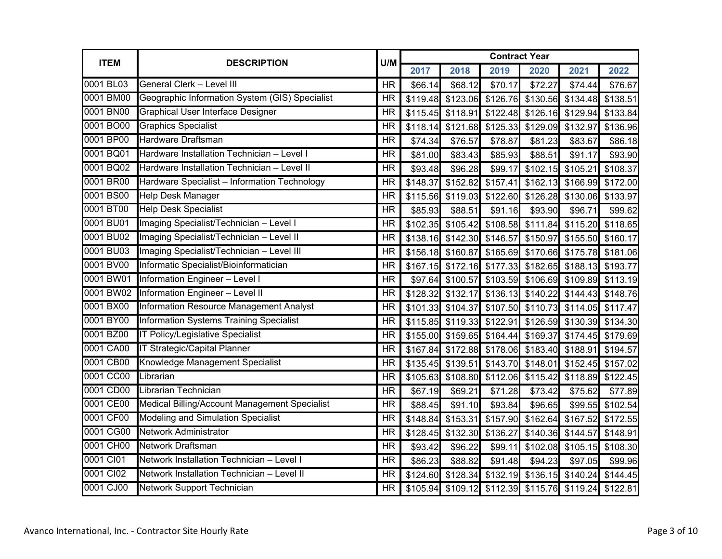| <b>ITEM</b> | <b>DESCRIPTION</b>                             | U/M       |          |                            | <b>Contract Year</b>                |                                     |          |                            |
|-------------|------------------------------------------------|-----------|----------|----------------------------|-------------------------------------|-------------------------------------|----------|----------------------------|
|             |                                                |           | 2017     | 2018                       | 2019                                | 2020                                | 2021     | 2022                       |
| 0001 BL03   | General Clerk - Level III                      | <b>HR</b> | \$66.14  | \$68.12                    | \$70.17                             | \$72.27                             | \$74.44  | \$76.67                    |
| 0001 BM00   | Geographic Information System (GIS) Specialist | <b>HR</b> | \$119.48 | \$123.06                   | \$126.76                            | \$130.56                            | \$134.48 | \$138.51                   |
| 0001 BN00   | <b>Graphical User Interface Designer</b>       | <b>HR</b> | \$115.45 | \$118.91                   | \$122.48                            | \$126.16                            | \$129.94 | \$133.84                   |
| 0001 BO00   | <b>Graphics Specialist</b>                     | <b>HR</b> |          | \$118.14 \$121.68          | \$125.33                            | \$129.09                            | \$132.97 | \$136.96                   |
| 0001 BP00   | Hardware Draftsman                             | <b>HR</b> | \$74.34  | \$76.57                    | \$78.87                             | \$81.23                             | \$83.67  | \$86.18                    |
| 0001 BQ01   | Hardware Installation Technician - Level I     | <b>HR</b> | \$81.00  | \$83.43                    | \$85.93                             | \$88.51                             | \$91.17  | \$93.90                    |
| 0001 BQ02   | Hardware Installation Technician - Level II    | <b>HR</b> | \$93.48  | \$96.28                    | \$99.17                             | \$102.15                            | \$105.21 | \$108.37                   |
| 0001 BR00   | Hardware Specialist - Information Technology   | <b>HR</b> | \$148.37 | \$152.82                   | \$157.41                            | \$162.13                            | \$166.99 | \$172.00                   |
| 0001 BS00   | <b>Help Desk Manager</b>                       | <b>HR</b> |          | $$115.56$ $$119.03$        |                                     | \$122.60 \$126.28                   |          | \$130.06 \$133.97          |
| 0001 BT00   | <b>Help Desk Specialist</b>                    | <b>HR</b> | \$85.93  | \$88.51                    | \$91.16                             | \$93.90                             | \$96.71  | \$99.62                    |
| 0001 BU01   | Imaging Specialist/Technician - Level I        | <b>HR</b> |          | \$102.35 \$105.42          | \$108.58                            | \$111.84                            | \$115.20 | \$118.65                   |
| 0001 BU02   | Imaging Specialist/Technician - Level II       | <b>HR</b> |          | \$138.16 \$142.30 \$146.57 |                                     |                                     |          | \$150.97 \$155.50 \$160.17 |
| 0001 BU03   | Imaging Specialist/Technician - Level III      | <b>HR</b> |          | \$156.18 \$160.87          | \$165.69                            | \$170.66                            |          | \$175.78 \$181.06          |
| 0001 BV00   | Informatic Specialist/Bioinformatician         | <b>HR</b> |          | \$167.15 \$172.16          | \$177.33                            | \$182.65                            | \$188.13 | \$193.77                   |
| 0001 BW01   | Information Engineer - Level I                 | <b>HR</b> |          | \$97.64 \$100.57           |                                     | \$103.59 \$106.69                   |          | \$109.89 \$113.19          |
| 0001 BW02   | Information Engineer - Level II                | <b>HR</b> |          | \$128.32 \$132.17          | $\sqrt{$136.13}$                    |                                     |          | \$140.22 \$144.43 \$148.76 |
| 0001 BX00   | Information Resource Management Analyst        | <b>HR</b> |          | \$101.33 \$104.37          | \$107.50                            | \$110.73                            |          | \$114.05 \$117.47          |
| 0001 BY00   | <b>Information Systems Training Specialist</b> | <b>HR</b> |          | \$115.85 \$119.33          | \$122.91                            | \$126.59                            |          | \$130.39 \$134.30          |
| 0001 BZ00   | <b>IT Policy/Legislative Specialist</b>        | <b>HR</b> |          | \$155.00 \$159.65          | \$164.44                            | \$169.37                            |          | \$174.45 \$179.69          |
| 0001 CA00   | <b>IT Strategic/Capital Planner</b>            | <b>HR</b> |          | \$167.84 \$172.88          | \$178.06                            | \$183.40                            | \$188.91 | \$194.57                   |
| 0001 CB00   | Knowledge Management Specialist                | <b>HR</b> |          | \$135.45 \$139.51          | \$143.70                            | \$148.01                            | \$152.45 | \$157.02                   |
| 0001 CC00   | Librarian                                      | <b>HR</b> |          |                            | \$105.63 \$108.80 \$112.06 \$115.42 |                                     | \$118.89 | \$122.45                   |
| 0001 CD00   | Librarian Technician                           | <b>HR</b> | \$67.19  | \$69.21                    | \$71.28                             | \$73.42                             | \$75.62  | \$77.89                    |
| 0001 CE00   | Medical Billing/Account Management Specialist  | <b>HR</b> | \$88.45  | \$91.10                    | \$93.84                             | \$96.65                             | \$99.55  | \$102.54                   |
| 0001 CF00   | <b>Modeling and Simulation Specialist</b>      | <b>HR</b> | \$148.84 | \$153.31                   | \$157.90                            | \$162.64                            | \$167.52 | \$172.55                   |
| 0001 CG00   | <b>Network Administrator</b>                   | <b>HR</b> | \$128.45 | \$132.30                   | \$136.27                            | \$140.36                            | \$144.57 | \$148.91                   |
| 0001 CH00   | <b>Network Draftsman</b>                       | <b>HR</b> | \$93.42  | \$96.22                    | \$99.11                             | \$102.08                            | \$105.15 | \$108.30                   |
| 0001 CI01   | Network Installation Technician - Level I      | <b>HR</b> | \$86.23  | \$88.82                    | \$91.48                             | \$94.23                             | \$97.05  | \$99.96                    |
| 0001 CI02   | Network Installation Technician - Level II     | <b>HR</b> | \$124.60 | \$128.34                   |                                     | \$132.19 \$136.15                   | \$140.24 | \$144.45                   |
| 0001 CJ00   | <b>Network Support Technician</b>              | <b>HR</b> |          | \$105.94 \$109.12          |                                     | \$112.39 \$115.76 \$119.24 \$122.81 |          |                            |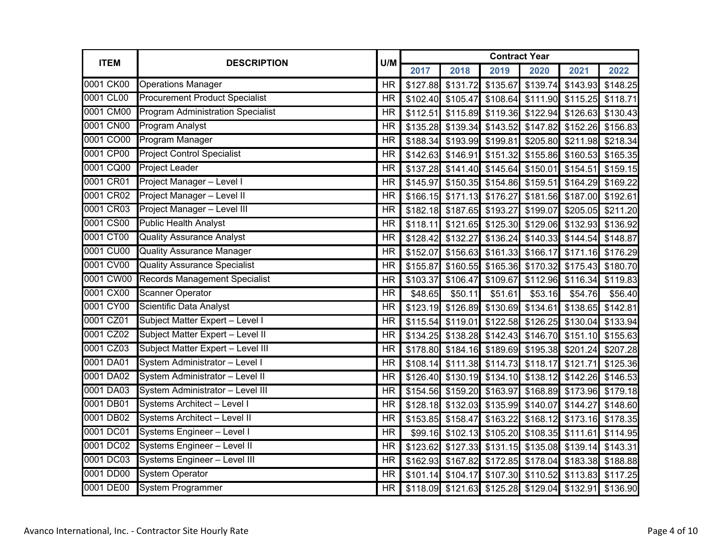| <b>ITEM</b> | <b>DESCRIPTION</b>                       | U/M       |          |                                                       | <b>Contract Year</b> |                                     |          |                            |
|-------------|------------------------------------------|-----------|----------|-------------------------------------------------------|----------------------|-------------------------------------|----------|----------------------------|
|             |                                          |           | 2017     | 2018                                                  | 2019                 | 2020                                | 2021     | 2022                       |
| 0001 CK00   | <b>Operations Manager</b>                | <b>HR</b> |          | \$127.88 \$131.72                                     | \$135.67             | \$139.74                            | \$143.93 | \$148.25                   |
| 0001 CL00   | <b>Procurement Product Specialist</b>    | <b>HR</b> |          | \$102.40 \$105.47                                     | \$108.64             | \$111.90                            | \$115.25 | \$118.71                   |
| 0001 CM00   | <b>Program Administration Specialist</b> | <b>HR</b> | \$112.51 | \$115.89                                              |                      | \$119.36 \$122.94                   | \$126.63 | \$130.43                   |
| 0001 CN00   | <b>Program Analyst</b>                   | <b>HR</b> |          | \$135.28 \$139.34                                     | \$143.52             | \$147.82                            | \$152.26 | \$156.83                   |
| 0001 CO00   | Program Manager                          | <b>HR</b> |          | \$188.34 \$193.99                                     | \$199.81             | \$205.80                            | \$211.98 | \$218.34                   |
| 0001 CP00   | <b>Project Control Specialist</b>        | <b>HR</b> |          | \$142.63 \$146.91                                     | \$151.32             | \$155.86                            | \$160.53 | \$165.35                   |
| 0001 CQ00   | <b>Project Leader</b>                    | <b>HR</b> |          | \$137.28 \$141.40                                     | \$145.64             | \$150.01                            | \$154.51 | \$159.15                   |
| 0001 CR01   | Project Manager - Level I                | <b>HR</b> | \$145.97 | \$150.35                                              | \$154.86             | \$159.51                            | \$164.29 | \$169.22                   |
| 0001 CR02   | Project Manager - Level II               | <b>HR</b> |          | $$166.15$ $$171.13$                                   | \$176.27             | \$181.56                            | \$187.00 | \$192.61                   |
| 0001 CR03   | Project Manager - Level III              | <b>HR</b> |          | \$182.18 \$187.65                                     | \$193.27             | \$199.07                            | \$205.05 | \$211.20                   |
| 0001 CS00   | <b>Public Health Analyst</b>             | <b>HR</b> | \$118.11 | \$121.65                                              | \$125.30             | \$129.06                            | \$132.93 | \$136.92                   |
| 0001 CT00   | <b>Quality Assurance Analyst</b>         | <b>HR</b> |          | \$128.42 \$132.27                                     | \$136.24             | \$140.33                            | \$144.54 | \$148.87                   |
| 0001 CU00   | <b>Quality Assurance Manager</b>         | <b>HR</b> |          | \$152.07 \$156.63                                     | \$161.33             | \$166.17                            |          | \$171.16 \$176.29          |
| 0001 CV00   | <b>Quality Assurance Specialist</b>      | <b>HR</b> | \$155.87 | \$160.55                                              | \$165.36             | \$170.32                            | \$175.43 | \$180.70                   |
| 0001 CW00   | <b>Records Management Specialist</b>     | <b>HR</b> | \$103.37 | \$106.47                                              | \$109.67             | \$112.96                            | \$116.34 | \$119.83                   |
| 0001 CX00   | <b>Scanner Operator</b>                  | <b>HR</b> | \$48.65  | \$50.11                                               | \$51.61              | \$53.16                             | \$54.76  | \$56.40                    |
| 0001 CY00   | Scientific Data Analyst                  | <b>HR</b> | \$123.19 | \$126.89                                              | \$130.69             | \$134.61                            | \$138.65 | \$142.81                   |
| 0001 CZ01   | Subject Matter Expert - Level I          | <b>HR</b> |          | \$115.54 \$119.01                                     |                      | \$122.58 \$126.25 \$130.04          |          | \$133.94                   |
| 0001 CZ02   | Subject Matter Expert - Level II         | <b>HR</b> |          | \$134.25 \$138.28                                     | \$142.43             | \$146.70                            | \$151.10 | \$155.63                   |
| 0001 CZ03   | Subject Matter Expert - Level III        | <b>HR</b> | \$178.80 | \$184.16                                              | \$189.69             | \$195.38                            | \$201.24 | \$207.28                   |
| 0001 DA01   | System Administrator - Level I           | <b>HR</b> |          | \$108.14 \$111.38                                     |                      | \$114.73 \$118.17                   | \$121.71 | \$125.36                   |
| 0001 DA02   | System Administrator - Level II          | <b>HR</b> |          | \$126.40 \$130.19                                     |                      | \$134.10 \$138.12 \$142.26          |          | \$146.53                   |
| 0001 DA03   | System Administrator - Level III         | <b>HR</b> |          | \$154.56 \$159.20                                     | \$163.97             | \$168.89                            | \$173.96 | \$179.18                   |
| 0001 DB01   | Systems Architect - Level I              | <b>HR</b> |          | \$128.18 \$132.03 \$135.99                            |                      | \$140.07 \$144.27                   |          | \$148.60                   |
| 0001 DB02   | Systems Architect - Level II             | <b>HR</b> |          | \$153.85 \$158.47                                     | \$163.22             |                                     |          | \$168.12 \$173.16 \$178.35 |
| 0001 DC01   | Systems Engineer - Level I               | <b>HR</b> |          | \$99.16 \$102.13                                      | \$105.20             | \$108.35                            | \$111.61 | \$114.95                   |
| 0001 DC02   | Systems Engineer - Level II              | <b>HR</b> |          | \$123.62 \$127.33 \$131.15 \$135.08 \$139.14 \$143.31 |                      |                                     |          |                            |
| 0001 DC03   | Systems Engineer - Level III             | <b>HR</b> |          | \$162.93 \$167.82                                     |                      | \$172.85 \$178.04 \$183.38 \$188.88 |          |                            |
| 0001 DD00   | <b>System Operator</b>                   | <b>HR</b> |          | \$101.14 \$104.17                                     |                      | $$107.30$ $$110.52$ $$113.83$       |          | \$117.25                   |
| 0001 DE00   | <b>System Programmer</b>                 | <b>HR</b> |          | \$118.09 \$121.63 \$125.28 \$129.04 \$132.91 \$136.90 |                      |                                     |          |                            |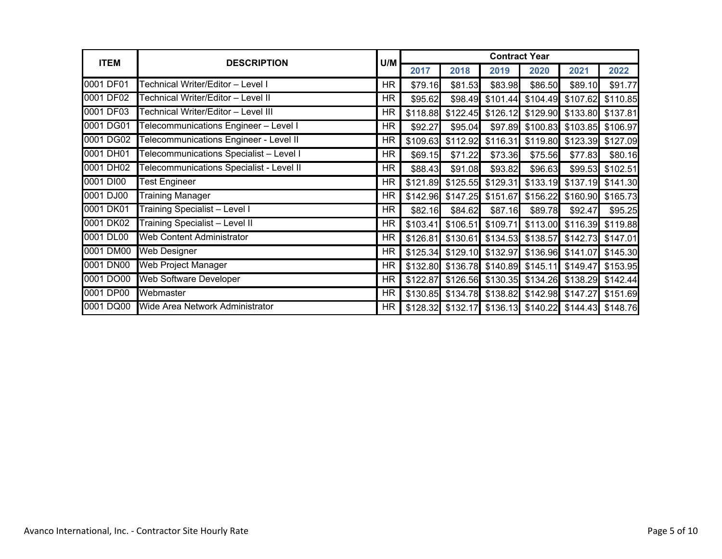| <b>ITEM</b> | <b>DESCRIPTION</b>                       | U/M       | <b>Contract Year</b> |                                                       |                   |                                     |                   |                            |  |
|-------------|------------------------------------------|-----------|----------------------|-------------------------------------------------------|-------------------|-------------------------------------|-------------------|----------------------------|--|
|             |                                          |           | 2017                 | 2018                                                  | 2019              | 2020                                | 2021              | 2022                       |  |
| 0001 DF01   | Technical Writer/Editor - Level I        | <b>HR</b> | \$79.16              | \$81.53                                               | \$83.98           | \$86.50                             | \$89.10           | \$91.77                    |  |
| 0001 DF02   | Technical Writer/Editor - Level II       | HR        | \$95.62              | \$98.49                                               | \$101.44          | \$104.49                            | \$107.62          | \$110.85                   |  |
| 0001 DF03   | Technical Writer/Editor - Level III      | HR.       | \$118.88             | \$122.45                                              | \$126.12          | \$129.90                            | \$133.80          | \$137.81                   |  |
| 0001 DG01   | Telecommunications Engineer - Level I    | <b>HR</b> | \$92.27              | \$95.04                                               | \$97.89           | \$100.83                            | \$103.85          | \$106.97                   |  |
| 0001DG02    | Telecommunications Engineer - Level II   | HR.       | \$109.63             | \$112.92                                              | \$116.31          | \$119.80                            | \$123.39          | \$127.09                   |  |
| 0001 DH01   | Telecommunications Specialist - Level I  | HR.       | \$69.15              | \$71.22                                               | \$73.36           | \$75.56                             | \$77.83           | \$80.16                    |  |
| 0001 DH02   | Telecommunications Specialist - Level II | HR.       | \$88.43              | \$91.08                                               | \$93.82           | \$96.63                             | \$99.53           | \$102.51                   |  |
| 0001 DI00   | <b>Test Engineer</b>                     | <b>HR</b> | \$121.89             | \$125.55                                              | \$129.31          | \$133.19                            |                   | \$137.19 \$141.30          |  |
| 0001 DJ00   | <b>Training Manager</b>                  | HR.       | \$142.96             | \$147.25                                              | \$151.67          | \$156.22                            |                   | \$160.90 \$165.73          |  |
| 0001 DK01   | <b>Training Specialist - Level I</b>     | <b>HR</b> | \$82.16              | \$84.62                                               | \$87.16           | \$89.78                             | \$92.47           | \$95.25                    |  |
| 0001 DK02   | <b>Training Specialist - Level II</b>    | HR.       | \$103.41             | \$106.51                                              | \$109.71          |                                     |                   | \$113.00 \$116.39 \$119.88 |  |
| 0001 DL00   | <b>Web Content Administrator</b>         | <b>HR</b> | \$126.81             | \$130.61                                              |                   | \$134.53 \$138.57 \$142.73 \$147.01 |                   |                            |  |
| 0001 DM00   | <b>Web Designer</b>                      | <b>HR</b> |                      | $$125.34$ $$129.10$ $$132.97$                         |                   |                                     | \$136.96 \$141.07 | \$145.30                   |  |
| 0001 DN00   | Web Project Manager                      | <b>HR</b> |                      | \$132.80 \$136.78 \$140.89                            |                   | \$145.11                            | \$149.47          | \$153.95                   |  |
| 0001 DO00   | <b>Web Software Developer</b>            | <b>HR</b> | \$122.87             |                                                       | \$126.56 \$130.35 |                                     |                   | \$134.26 \$138.29 \$142.44 |  |
| 0001 DP00   | Webmaster                                | HR        | \$130.85             |                                                       | \$134.78 \$138.82 |                                     | \$142.98 \$147.27 | \$151.69                   |  |
| 0001 DQ00   | Wide Area Network Administrator          | HR        |                      | \$128.32 \$132.17 \$136.13 \$140.22 \$144.43 \$148.76 |                   |                                     |                   |                            |  |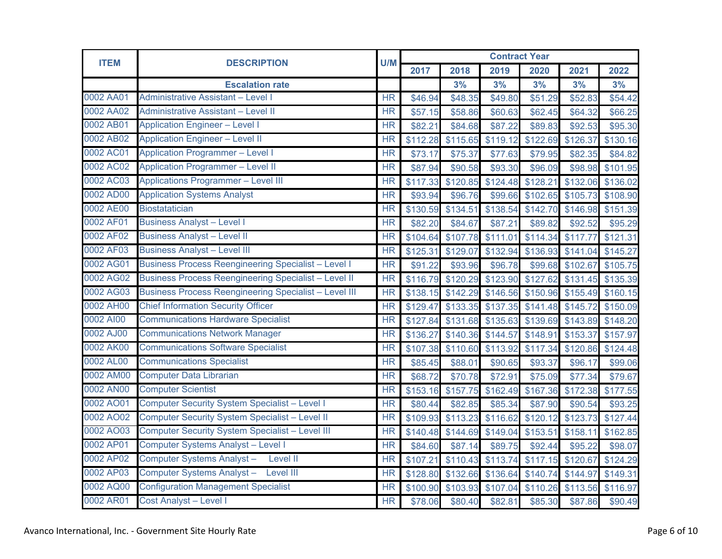| <b>ITEM</b> | <b>DESCRIPTION</b>                                           | U/M                    | <b>Contract Year</b> |          |          |          |          |          |  |  |
|-------------|--------------------------------------------------------------|------------------------|----------------------|----------|----------|----------|----------|----------|--|--|
|             |                                                              |                        | 2017                 | 2018     | 2019     | 2020     | 2021     | 2022     |  |  |
|             | <b>Escalation rate</b>                                       |                        |                      | 3%       | 3%       | 3%       | 3%       | 3%       |  |  |
| 0002 AA01   | <b>Administrative Assistant - Level I</b>                    | <b>HR</b>              | \$46.94              | \$48.35  | \$49.80  | \$51.29  | \$52.83  | \$54.42  |  |  |
| 0002 AA02   | <b>Administrative Assistant - Level II</b>                   | <b>HR</b>              | \$57.15              | \$58.86  | \$60.63  | \$62.45  | \$64.32  | \$66.25  |  |  |
| 0002 AB01   | <b>Application Engineer - Level I</b>                        | <b>HR</b>              | \$82.21              | \$84.68  | \$87.22  | \$89.83  | \$92.53  | \$95.30  |  |  |
| 0002 AB02   | <b>Application Engineer - Level II</b>                       | <b>HR</b>              | \$112.28             | \$115.65 | \$119.12 | \$122.69 | \$126.37 | \$130.16 |  |  |
| 0002 AC01   | <b>Application Programmer - Level I</b>                      | <b>HR</b>              | \$73.17              | \$75.37  | \$77.63  | \$79.95  | \$82.35  | \$84.82  |  |  |
| 0002 AC02   | <b>Application Programmer - Level II</b>                     | <b>HR</b>              | \$87.94              | \$90.58  | \$93.30  | \$96.09  | \$98.98  | \$101.95 |  |  |
| 0002 AC03   | <b>Applications Programmer - Level III</b>                   | <b>HR</b>              | \$117.33             | \$120.85 | \$124.48 | \$128.21 | \$132.06 | \$136.02 |  |  |
| 0002 AD00   | <b>Application Systems Analyst</b>                           | $\overline{\text{HR}}$ | \$93.94              | \$96.76  | \$99.66  | \$102.65 | \$105.73 | \$108.90 |  |  |
| 0002 AE00   | <b>Biostatatician</b>                                        | <b>HR</b>              | \$130.59             | \$134.51 | \$138.54 | \$142.70 | \$146.98 | \$151.39 |  |  |
| 0002 AF01   | <b>Business Analyst - Level I</b>                            | <b>HR</b>              | \$82.20              | \$84.67  | \$87.21  | \$89.82  | \$92.52  | \$95.29  |  |  |
| 0002 AF02   | <b>Business Analyst - Level II</b>                           | <b>HR</b>              | \$104.64             | \$107.78 | \$111.01 | \$114.34 | \$117.77 | \$121.31 |  |  |
| 0002 AF03   | <b>Business Analyst - Level III</b>                          | <b>HR</b>              | \$125.31             | \$129.07 | \$132.94 | \$136.93 | \$141.04 | \$145.27 |  |  |
| 0002 AG01   | <b>Business Process Reengineering Specialist - Level I</b>   | <b>HR</b>              | \$91.22              | \$93.96  | \$96.78  | \$99.68  | \$102.67 | \$105.75 |  |  |
| 0002 AG02   | <b>Business Process Reengineering Specialist - Level II</b>  | <b>HR</b>              | \$116.79             | \$120.29 | \$123.90 | \$127.62 | \$131.45 | \$135.39 |  |  |
| 0002 AG03   | <b>Business Process Reengineering Specialist - Level III</b> | <b>HR</b>              | \$138.15             | \$142.29 | \$146.56 | \$150.96 | \$155.49 | \$160.15 |  |  |
| 0002 AH00   | <b>Chief Information Security Officer</b>                    | <b>HR</b>              | \$129.47             | \$133.35 | \$137.35 | \$141.48 | \$145.72 | \$150.09 |  |  |
| 0002 AI00   | <b>Communications Hardware Specialist</b>                    | <b>HR</b>              | \$127.84             | \$131.68 | \$135.63 | \$139.69 | \$143.89 | \$148.20 |  |  |
| 0002 AJ00   | <b>Communications Network Manager</b>                        | <b>HR</b>              | \$136.27             | \$140.36 | \$144.57 | \$148.91 | \$153.37 | \$157.97 |  |  |
| 0002 AK00   | <b>Communications Software Specialist</b>                    | $\overline{\text{HR}}$ | \$107.38             | \$110.60 | \$113.92 | \$117.34 | \$120.86 | \$124.48 |  |  |
| 0002 AL00   | <b>Communications Specialist</b>                             | <b>HR</b>              | \$85.45              | \$88.01  | \$90.65  | \$93.37  | \$96.17  | \$99.06  |  |  |
| 0002 AM00   | <b>Computer Data Librarian</b>                               | $\overline{\text{HR}}$ | \$68.72              | \$70.78  | \$72.91  | \$75.09  | \$77.34  | \$79.67  |  |  |
| 0002 AN00   | <b>Computer Scientist</b>                                    | <b>HR</b>              | \$153.16             | \$157.75 | \$162.49 | \$167.36 | \$172.38 | \$177.55 |  |  |
| 0002 AO01   | <b>Computer Security System Specialist - Level I</b>         | $\overline{\text{HR}}$ | \$80.44              | \$82.85  | \$85.34  | \$87.90  | \$90.54  | \$93.25  |  |  |
| 0002 AO02   | Computer Security System Specialist - Level II               | <b>HR</b>              | \$109.93             | \$113.23 | \$116.62 | \$120.12 | \$123.73 | \$127.44 |  |  |
| 0002 AO03   | <b>Computer Security System Specialist - Level III</b>       | <b>HR</b>              | \$140.48             | \$144.69 | \$149.04 | \$153.51 | \$158.11 | \$162.85 |  |  |
| 0002 AP01   | <b>Computer Systems Analyst - Level I</b>                    | <b>HR</b>              | \$84.60              | \$87.14  | \$89.75  | \$92.44  | \$95.22  | \$98.07  |  |  |
| 0002 AP02   | Computer Systems Analyst-<br>Level II                        | $\overline{\text{HR}}$ | \$107.21             | \$110.43 | \$113.74 | \$117.15 | \$120.67 | \$124.29 |  |  |
| 0002 AP03   | Computer Systems Analyst - Level III                         | <b>HR</b>              | \$128.80             | \$132.66 | \$136.64 | \$140.74 | \$144.97 | \$149.31 |  |  |
| 0002 AQ00   | <b>Configuration Management Specialist</b>                   | <b>HR</b>              | \$100.90             | \$103.93 | \$107.04 | \$110.26 | \$113.56 | \$116.97 |  |  |
| 0002 AR01   | <b>Cost Analyst - Level I</b>                                | <b>HR</b>              | \$78.06              | \$80.40  | \$82.81  | \$85.30  | \$87.86  | \$90.49  |  |  |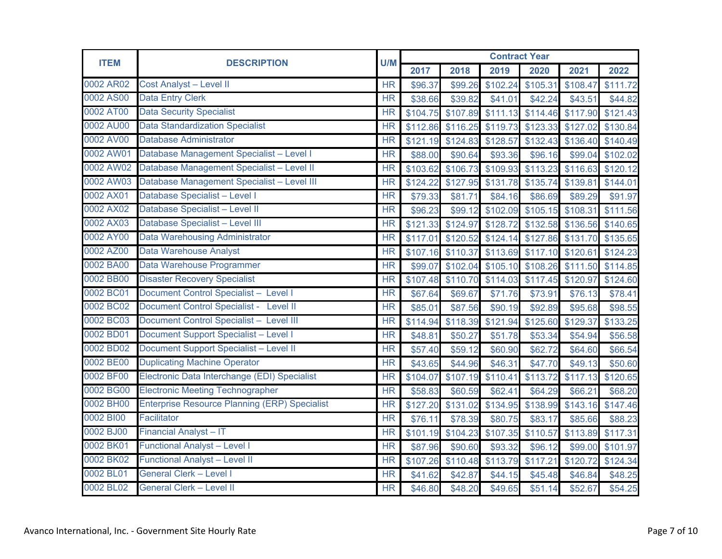| <b>ITEM</b> | <b>DESCRIPTION</b>                                   | U/M                    |          |          | <b>Contract Year</b> |          |          |                   |
|-------------|------------------------------------------------------|------------------------|----------|----------|----------------------|----------|----------|-------------------|
|             |                                                      |                        | 2017     | 2018     | 2019                 | 2020     | 2021     | 2022              |
| 0002 AR02   | <b>Cost Analyst - Level II</b>                       | <b>HR</b>              | \$96.37  | \$99.26  | \$102.24             | \$105.31 | \$108.47 | \$111.72          |
| 0002 AS00   | <b>Data Entry Clerk</b>                              | $\overline{\text{HR}}$ | \$38.66  | \$39.82  | \$41.01              | \$42.24  | \$43.51  | \$44.82           |
| 0002 AT00   | <b>Data Security Specialist</b>                      | <b>HR</b>              | \$104.75 | \$107.89 | \$111.13             | \$114.46 | \$117.90 | \$121.43          |
| 0002 AU00   | <b>Data Standardization Specialist</b>               | <b>HR</b>              | \$112.86 | \$116.25 | \$119.73             | \$123.33 | \$127.02 | \$130.84          |
| 0002 AV00   | <b>Database Administrator</b>                        | <b>HR</b>              | \$121.19 | \$124.83 | \$128.57             | \$132.43 | \$136.40 | \$140.49          |
| 0002 AW01   | Database Management Specialist - Level I             | <b>HR</b>              | \$88.00  | \$90.64  | \$93.36              | \$96.16  | \$99.04  | \$102.02          |
| 0002 AW02   | Database Management Specialist - Level II            | <b>HR</b>              | \$103.62 | \$106.73 | \$109.93             | \$113.23 | \$116.63 | \$120.12          |
| 0002 AW03   | Database Management Specialist - Level III           | <b>HR</b>              | \$124.22 | \$127.95 | \$131.78             | \$135.74 | \$139.81 | \$144.01          |
| 0002 AX01   | Database Specialist - Level I                        | <b>HR</b>              | \$79.33  | \$81.71  | \$84.16              | \$86.69  | \$89.29  | \$91.97           |
| 0002 AX02   | Database Specialist - Level II                       | <b>HR</b>              | \$96.23  | \$99.12  | \$102.09             | \$105.15 | \$108.31 | \$111.56          |
| 0002 AX03   | Database Specialist - Level III                      | <b>HR</b>              | \$121.33 | \$124.97 | \$128.72             | \$132.58 | \$136.56 | \$140.65          |
| 0002 AY00   | <b>Data Warehousing Administrator</b>                | <b>HR</b>              | \$117.01 | \$120.52 | \$124.14             | \$127.86 | \$131.70 | \$135.65          |
| 0002 AZ00   | Data Warehouse Analyst                               | <b>HR</b>              | \$107.16 | \$110.37 | \$113.69             | \$117.10 | \$120.61 | \$124.23          |
| 0002 BA00   | Data Warehouse Programmer                            | <b>HR</b>              | \$99.07  | \$102.04 | \$105.10             | \$108.26 |          | \$111.50 \$114.85 |
| 0002 BB00   | <b>Disaster Recovery Specialist</b>                  | <b>HR</b>              | \$107.48 | \$110.70 | \$114.03             | \$117.45 | \$120.97 | \$124.60          |
| 0002 BC01   | Document Control Specialist - Level I                | <b>HR</b>              | \$67.64  | \$69.67  | \$71.76              | \$73.91  | \$76.13  | \$78.41           |
| 0002 BC02   | Document Control Specialist - Level II               | <b>HR</b>              | \$85.01  | \$87.56  | \$90.19              | \$92.89  | \$95.68  | \$98.55           |
| 0002 BC03   | Document Control Specialist - Level III              | <b>HR</b>              | \$114.94 | \$118.39 | \$121.94             | \$125.60 | 5129.37  | \$133.25          |
| 0002 BD01   | Document Support Specialist - Level I                | $\overline{\text{HR}}$ | \$48.81  | \$50.27  | \$51.78              | \$53.34  | \$54.94  | \$56.58           |
| 0002 BD02   | <b>Document Support Specialist - Level II</b>        | <b>HR</b>              | \$57.40  | \$59.12  | \$60.90              | \$62.72  | \$64.60  | \$66.54           |
| 0002 BE00   | <b>Duplicating Machine Operator</b>                  | <b>HR</b>              | \$43.65  | \$44.96  | \$46.31              | \$47.70  | \$49.13  | \$50.60           |
| 0002 BF00   | Electronic Data Interchange (EDI) Specialist         | $\overline{\text{HR}}$ | \$104.07 | \$107.19 | \$110.41             | \$113.72 | \$117.13 | \$120.65          |
| 0002 BG00   | <b>Electronic Meeting Technographer</b>              | <b>HR</b>              | \$58.83  | \$60.59  | \$62.41              | \$64.29  | \$66.21  | \$68.20           |
| 0002 BH00   | <b>Enterprise Resource Planning (ERP) Specialist</b> | <b>HR</b>              | \$127.20 | \$131.02 | \$134.95             | \$138.99 | \$143.16 | \$147.46          |
| 0002 BI00   | Facilitator                                          | <b>HR</b>              | \$76.11  | \$78.39  | \$80.75              | \$83.17  | \$85.66  | \$88.23           |
| 0002 BJ00   | <b>Financial Analyst - IT</b>                        | <b>HR</b>              | \$101.19 | \$104.23 | \$107.35             | \$110.57 | \$113.89 | \$117.31          |
| 0002 BK01   | <b>Functional Analyst - Level I</b>                  | <b>HR</b>              | \$87.96  | \$90.60  | \$93.32              | \$96.12  | \$99.00  | \$101.97          |
| 0002 BK02   | <b>Functional Analyst - Level II</b>                 | <b>HR</b>              | \$107.26 | \$110.48 | \$113.79             | \$117.21 | \$120.72 | \$124.34          |
| 0002 BL01   | <b>General Clerk - Level I</b>                       | <b>HR</b>              | \$41.62  | \$42.87  | \$44.15              | \$45.48  | \$46.84  | \$48.25           |
| 0002 BL02   | <b>General Clerk - Level II</b>                      | <b>HR</b>              | \$46.80  | \$48.20  | \$49.65              | \$51.14  | \$52.67  | \$54.25           |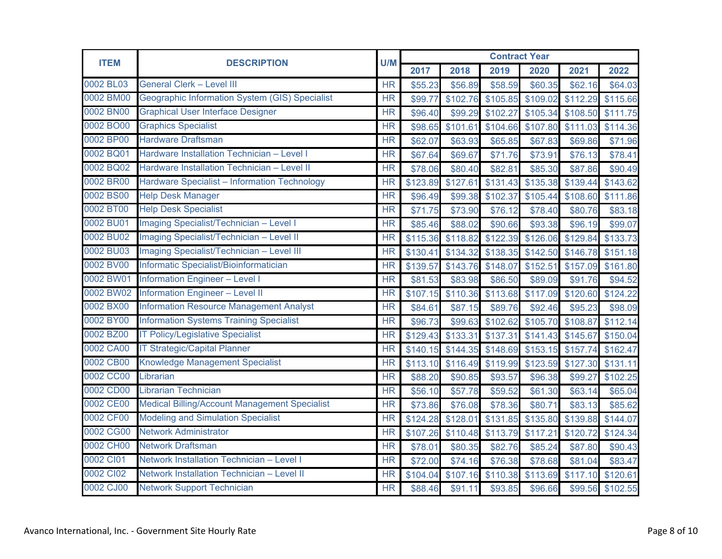| <b>ITEM</b> | <b>DESCRIPTION</b>                                   | U/M       |          |                   | <b>Contract Year</b> |          |          |          |
|-------------|------------------------------------------------------|-----------|----------|-------------------|----------------------|----------|----------|----------|
|             |                                                      |           | 2017     | 2018              | 2019                 | 2020     | 2021     | 2022     |
| 0002 BL03   | <b>General Clerk - Level III</b>                     | <b>HR</b> | \$55.23  | \$56.89           | \$58.59              | \$60.35  | \$62.16  | \$64.03  |
| 0002 BM00   | Geographic Information System (GIS) Specialist       | <b>HR</b> | \$99.77  | \$102.76          | \$105.85             | \$109.02 | \$112.29 | \$115.66 |
| 0002 BN00   | <b>Graphical User Interface Designer</b>             | <b>HR</b> | \$96.40  | \$99.29           | \$102.27             | \$105.34 | \$108.50 | \$111.75 |
| 0002 BO00   | <b>Graphics Specialist</b>                           | <b>HR</b> | \$98.65  | \$101.61          | \$104.66             | \$107.80 | \$111.03 | \$114.36 |
| 0002 BP00   | <b>Hardware Draftsman</b>                            | <b>HR</b> | \$62.07  | \$63.93           | \$65.85              | \$67.83  | \$69.86  | \$71.96  |
| 0002 BQ01   | Hardware Installation Technician - Level I           | <b>HR</b> | \$67.64  | \$69.67           | \$71.76              | \$73.91  | \$76.13  | \$78.41  |
| 0002 BQ02   | Hardware Installation Technician - Level II          | <b>HR</b> | \$78.06  | \$80.40           | \$82.81              | \$85.30  | \$87.86  | \$90.49  |
| 0002 BR00   | Hardware Specialist - Information Technology         | <b>HR</b> | \$123.89 | \$127.61          | \$131.43             | \$135.38 | \$139.44 | \$143.62 |
| 0002 BS00   | <b>Help Desk Manager</b>                             | <b>HR</b> | \$96.49  | \$99.38           | \$102.37             | \$105.44 | \$108.60 | \$111.86 |
| 0002 BT00   | <b>Help Desk Specialist</b>                          | <b>HR</b> | \$71.75  | \$73.90           | \$76.12              | \$78.40  | \$80.76  | \$83.18  |
| 0002 BU01   | Imaging Specialist/Technician - Level I              | <b>HR</b> | \$85.46  | \$88.02           | \$90.66              | \$93.38  | \$96.19  | \$99.07  |
| 0002 BU02   | Imaging Specialist/Technician - Level II             | <b>HR</b> | \$115.36 | \$118.82          | \$122.39             | \$126.06 | \$129.84 | \$133.73 |
| 0002 BU03   | Imaging Specialist/Technician - Level III            | <b>HR</b> | \$130.41 | \$134.32          | \$138.35             | \$142.50 | \$146.78 | \$151.18 |
| 0002 BV00   | Informatic Specialist/Bioinformatician               | <b>HR</b> | \$139.57 | \$143.76          | \$148.07             | \$152.51 | \$157.09 | \$161.80 |
| 0002 BW01   | <b>Information Engineer - Level I</b>                | <b>HR</b> | \$81.53  | \$83.98           | \$86.50              | \$89.09  | \$91.76  | \$94.52  |
| 0002 BW02   | <b>Information Engineer - Level II</b>               | <b>HR</b> |          | \$107.15 \$110.36 | \$113.68             | \$117.09 | \$120.60 | \$124.22 |
| 0002 BX00   | <b>Information Resource Management Analyst</b>       | <b>HR</b> | \$84.61  | \$87.15           | \$89.76              | \$92.46  | \$95.23  | \$98.09  |
| 0002 BY00   | <b>Information Systems Training Specialist</b>       | <b>HR</b> | \$96.73  | \$99.63           | \$102.62             | \$105.70 | \$108.87 | \$112.14 |
| 0002 BZ00   | <b>IT Policy/Legislative Specialist</b>              | <b>HR</b> | \$129.43 | \$133.31          | \$137.31             | \$141.43 | \$145.67 | \$150.04 |
| 0002 CA00   | <b>IT Strategic/Capital Planner</b>                  | <b>HR</b> | \$140.15 | \$144.35          | \$148.69             | \$153.15 | \$157.74 | \$162.47 |
| 0002 CB00   | <b>Knowledge Management Specialist</b>               | <b>HR</b> | \$113.10 | \$116.49          | \$119.99             | \$123.59 | \$127.30 | \$131.11 |
| 0002 CC00   | Librarian                                            | <b>HR</b> | \$88.20  | \$90.85           | \$93.57              | \$96.38  | \$99.27  | \$102.25 |
| 0002 CD00   | <b>Librarian Technician</b>                          | <b>HR</b> | \$56.10  | \$57.78           | \$59.52              | \$61.30  | \$63.14  | \$65.04  |
| 0002 CE00   | <b>Medical Billing/Account Management Specialist</b> | <b>HR</b> | \$73.86  | \$76.08           | \$78.36              | \$80.71  | \$83.13  | \$85.62  |
| 0002 CF00   | <b>Modeling and Simulation Specialist</b>            | <b>HR</b> | \$124.28 | \$128.01          | \$131.85             | \$135.80 | \$139.88 | \$144.07 |
| 0002 CG00   | <b>Network Administrator</b>                         | <b>HR</b> | \$107.26 | \$110.48          | \$113.79             | \$117.21 | \$120.72 | \$124.34 |
| 0002 CH00   | <b>Network Draftsman</b>                             | <b>HR</b> | \$78.01  | \$80.35           | \$82.76              | \$85.24  | \$87.80  | \$90.43  |
| 0002 CI01   | Network Installation Technician - Level I            | <b>HR</b> | \$72.00  | \$74.16           | \$76.38              | \$78.68  | \$81.04  | \$83.47  |
| 0002 Cl02   | Network Installation Technician - Level II           | <b>HR</b> | \$104.04 | \$107.16          | \$110.38             | \$113.69 | \$117.10 | \$120.61 |
| 0002 CJ00   | <b>Network Support Technician</b>                    | <b>HR</b> | \$88.46  | \$91.11           | \$93.85              | \$96.66  | \$99.56  | \$102.55 |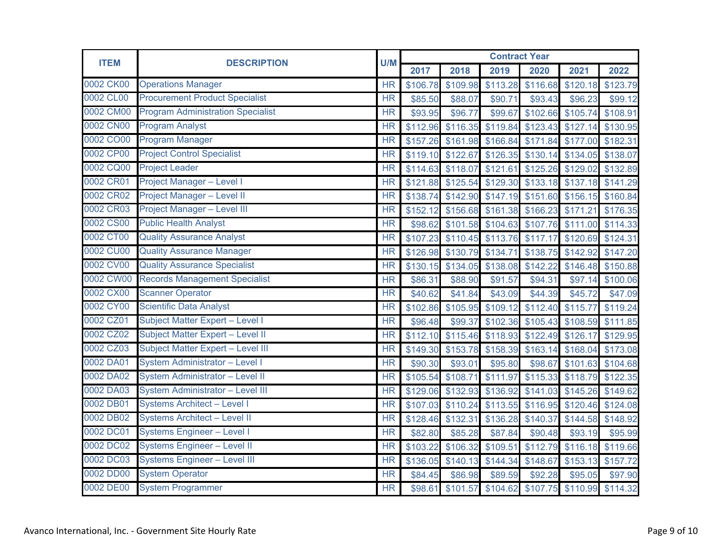| <b>ITEM</b> | <b>DESCRIPTION</b>                       |                        | <b>Contract Year</b> |                   |                            |          |          |                   |  |  |
|-------------|------------------------------------------|------------------------|----------------------|-------------------|----------------------------|----------|----------|-------------------|--|--|
|             |                                          | U/M                    | 2017                 | 2018              | 2019                       | 2020     | 2021     | 2022              |  |  |
| 0002 CK00   | <b>Operations Manager</b>                | <b>HR</b>              | \$106.78             | \$109.98          | \$113.28                   | \$116.68 | \$120.18 | \$123.79          |  |  |
| 0002 CL00   | <b>Procurement Product Specialist</b>    | $\overline{\text{HR}}$ | \$85.50              | \$88.07           | \$90.71                    | \$93.43  | \$96.23  | \$99.12           |  |  |
| 0002 CM00   | <b>Program Administration Specialist</b> | <b>HR</b>              | \$93.95              | \$96.77           | \$99.67                    | \$102.66 | \$105.74 | \$108.91          |  |  |
| 0002 CN00   | <b>Program Analyst</b>                   | <b>HR</b>              | \$112.96             | \$116.35          | \$119.84                   | \$123.43 | \$127.14 | \$130.95          |  |  |
| 0002 CO00   | <b>Program Manager</b>                   | <b>HR</b>              | \$157.26             | \$161.98          | \$166.84                   | \$171.84 | \$177.00 | \$182.31          |  |  |
| 0002 CP00   | <b>Project Control Specialist</b>        | <b>HR</b>              |                      | \$119.10 \$122.67 | \$126.35                   | \$130.14 | \$134.05 | \$138.07          |  |  |
| 0002 CQ00   | <b>Project Leader</b>                    | <b>HR</b>              | \$114.63             | \$118.07          | \$121.61                   | \$125.26 | \$129.02 | \$132.89          |  |  |
| 0002 CR01   | Project Manager - Level I                | <b>HR</b>              | \$121.88             | \$125.54          | \$129.30                   | \$133.18 | \$137.18 | \$141.29          |  |  |
| 0002 CR02   | Project Manager - Level II               | <b>HR</b>              | \$138.74             | \$142.90          | \$147.19                   | \$151.60 | \$156.15 | \$160.84          |  |  |
| 0002 CR03   | Project Manager - Level III              | <b>HR</b>              | \$152.12             | \$156.68          | \$161.38                   | \$166.23 | \$171.21 | \$176.35          |  |  |
| 0002 CS00   | <b>Public Health Analyst</b>             | <b>HR</b>              | \$98.62              | \$101.58          | \$104.63                   | \$107.76 | \$111.00 | \$114.33          |  |  |
| 0002 CT00   | <b>Quality Assurance Analyst</b>         | <b>HR</b>              |                      | \$107.23 \$110.45 | \$113.76                   | \$117.17 | \$120.69 | \$124.31          |  |  |
| 0002 CU00   | <b>Quality Assurance Manager</b>         | <b>HR</b>              | \$126.98             | \$130.79          | \$134.71                   | \$138.75 | \$142.92 | \$147.20          |  |  |
| 0002 CV00   | <b>Quality Assurance Specialist</b>      | <b>HR</b>              | \$130.15             | \$134.05          | \$138.08                   | \$142.22 | \$146.48 | \$150.88          |  |  |
| 0002 CW00   | <b>Records Management Specialist</b>     | <b>HR</b>              | \$86.31              | \$88.90           | \$91.57                    | \$94.31  | \$97.14  | \$100.06          |  |  |
| 0002 CX00   | <b>Scanner Operator</b>                  | <b>HR</b>              | \$40.62              | \$41.84           | \$43.09                    | \$44.39  | \$45.72  | \$47.09           |  |  |
| 0002 CY00   | <b>Scientific Data Analyst</b>           | <b>HR</b>              | \$102.86             | \$105.95          | \$109.12                   | \$112.40 | \$115.77 | \$119.24          |  |  |
| 0002 CZ01   | Subject Matter Expert - Level I          | <b>HR</b>              | \$96.48              | \$99.37           | \$102.36                   | \$105.43 | \$108.59 | \$111.85          |  |  |
| 0002 CZ02   | Subject Matter Expert - Level II         | <b>HR</b>              | \$112.10             | \$115.46          | \$118.93                   | \$122.49 | \$126.17 | \$129.95          |  |  |
| 0002 CZ03   | <b>Subject Matter Expert - Level III</b> | <b>HR</b>              | \$149.30             | \$153.78          | \$158.39                   | \$163.14 | \$168.04 | \$173.08          |  |  |
| 0002 DA01   | System Administrator - Level I           | <b>HR</b>              | \$90.30              | \$93.01           | \$95.80                    | \$98.67  |          | \$101.63 \$104.68 |  |  |
| 0002 DA02   | System Administrator - Level II          | <b>HR</b>              | \$105.54             | \$108.71          | \$111.97                   | \$115.33 | \$118.79 | \$122.35          |  |  |
| 0002 DA03   | <b>System Administrator - Level III</b>  | <b>HR</b>              | \$129.06             | \$132.93          | \$136.92                   | \$141.03 | \$145.26 | \$149.62          |  |  |
| 0002 DB01   | <b>Systems Architect - Level I</b>       | <b>HR</b>              | \$107.03             | \$110.24          | \$113.55                   | \$116.95 |          | \$120.46 \$124.08 |  |  |
| 0002 DB02   | <b>Systems Architect - Level II</b>      | <b>HR</b>              | \$128.46             | \$132.31          | \$136.28                   | \$140.37 |          | \$144.58 \$148.92 |  |  |
| 0002 DC01   | <b>Systems Engineer - Level I</b>        | <b>HR</b>              | \$82.80              | \$85.28           | \$87.84                    | \$90.48  | \$93.19  | \$95.99           |  |  |
| 0002 DC02   | <b>Systems Engineer - Level II</b>       | <b>HR</b>              | \$103.22             | \$106.32          | \$109.51                   | \$112.79 | \$116.18 | \$119.66          |  |  |
| 0002 DC03   | <b>Systems Engineer - Level III</b>      | <b>HR</b>              | \$136.05             | \$140.13          | \$144.34                   | \$148.67 |          | \$153.13 \$157.72 |  |  |
| 0002 DD00   | <b>System Operator</b>                   | <b>HR</b>              | \$84.45              | \$86.98           | \$89.59                    | \$92.28  | \$95.05  | \$97.90           |  |  |
| 0002 DE00   | <b>System Programmer</b>                 | <b>HR</b>              | \$98.61              |                   | \$101.57 \$104.62 \$107.75 |          |          | \$110.99 \$114.32 |  |  |